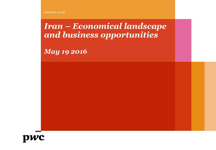www.pwc.co.uk

*Iran – Economical landscape and business opportunities*

*May 19 2016*

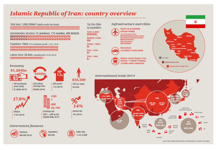# **Islamic Republic of Iran: country overview**

## Total area: 1,648,195km<sup>2</sup> (slightly smaller than Alaska)

### Administrative structure: 31 provinces, 172 counties, 499 districts **ŎŎŎŎŎŎŎŎŎŎŎŎŎŎŎŎŎŎŎŎŎŎŎŎŎŎŎŎŎŎŎŎŎ**

### Population: 78mn (73% urbanised, growth 1.22%, 2014) \*\*\*\*\*\*\*\*\*\*\*\*\*\*\*\*\*\*\*\*\*\*\*\*\*\*\*\*\*\*\*\*\*\*\*\*\* \*\*\*\*\*\*\*\*\*\*\*\*\*\*\*\*\*\*\*\*\*\*\*\*\*\*\*\*\*\*\*\*\*\*\*\*\*\*

Labour force: 28.4mn, unemployment 10.3% (2014) \*\*\*\*\*\*\*\*\*\*\*\*\*\*\*\*\*\*\*\*\*\*\*\*\*\*\*

## Economy



**GDP** (purchasing power parity):

\$1,284bn (2014)

**GDP** (official

exchange rate): \$402bn (2014)

402bn

GDP growth: 1.5% (2014)

**GDP** 

 $1.5<sub>*</sub>$ 



Inflation: 17.8% (2014)



Exchange rate:  $USD 1 = IRR 25.780$ (Iranian Rials, 2014)

## **Government finances**





Public debt: 11.4% of GDP

\$16,500

GDP per capita:

14%

Interest rate:

14% (2014)

\$16,500

Top five cities by population:

### Tehran: 8.35mn **AAAAAAAA.**

Mashhad: 2.94mn 444 Esfahan: 1.85mn

Karaj: 1.75mn

Ħ Shiraz: 1.6mn 个字

## **Infrastructure and cities**





Railways: Islamic Republic of Iran Railways: 11,000km of railways, 10,000km under construction



## **International trade 2014**



Sources: World Factbook, IMF, World Bank, IHS Global Insight, IHS Economics, PwC Analysis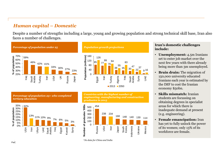## *Human capital – Domestic*

Despite a number of strengths including a large, young and growing population and strong technical skill base, Iran also faces a number of challenges.





## **Iran's domestic challenges include:**

- **Unemployment:** 4.5m Iranians set to enter job market over the next few years with there already being more than 3m unemployed.
- **Brain drain:** The migration of 150,000 university educated Iranians each year is estimated by the IMF to cost the Iranian economy \$50bn.
- **Skills mismatch:** Iranian students are focussing on obtaining degrees in specialist areas for which there is inadequate demand at present (e.g. engineering).
- **Female emancipation:** Iran has yet to fully unlock the power of its women; only 13% of its workforce are female.





*Countries with the highest number of engineering, manufacturing and construction graduates in 2015*



September 2015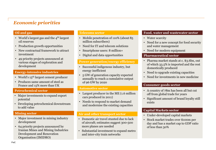## *Economic priorities*

- World's largest gas and the  $4<sup>th</sup>$  largest oil reserves
- Production growth opportunities
- New contractual framework to attract investment
- 49 priority projects announced at various stages of exploration and development

## **Energy-intensive industries**

- World's 15<sup>th</sup> largest cement producer
- Produces same amount of steel as France and 15% more than UK

## **Petrochemical sector**

- Major investments to expand export potential
- Developing petrochemical downstream to add value

- Major investment in mining industry development
- Organisation (IMIDRO) • 64 priority projects announced by Iranian Mines and Mining Industries Development and Renovation

- Mobile penetration of 110% (about 85 million subscribers)
- Need for IT and telecom solutions
- Smartphone users: 8 million+
- Digital and data opportunities

## **Power generation/energy efficiency**

- Successful indigenous industry, but energy inefficient
- 5 GW of generation capacity expected annually to reach a cumulative output of 96 GW by 2020

## **Automotive sector**

- Largest producer in the ME (1.6 million cars produced in 2011)
- Needs to respond to market demand and modernise the existing capacities

## **Mining sector Air and other transport sector**

- Domestic air travel stunted due to lack of aircraft; estimates suggest 300-500 more planes are needed
- Substantial investment to expand metro and inter-city train networks

## **Oil and gas Telecoms sector Food, water and wastewater sector Food, water and wastewater sector**

- Water scarcity
- Need for a new concept for food security and water management
- Need for modern equipment

## **Pharmaceutical sector**

- Pharma market stands at c. \$3.6bn, out of which 33.5% is imported and the rest domestically produced
- Need to upgrade existing capacities
- Need for investments in new medicine

## **Consumer goods sector**

- A country of 78m has been all but cut off from global trade for years
- Significant amount of brand loyalty still exists

## **Capital Markets sector**

- Under-developed capital markets
- Stock market trades over \$100m per day and has a market cap to GDP ratio of less than 30%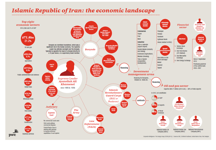# **Islamic Republic of Iran: the economic landscape**



Corporate Intelligence / The Design Group 22208 (05/15) | Sources: BBC, CIA World Rectbook, Central Bank of Iran, PwC Analysis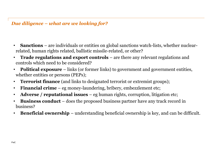## *Due diligence – what are we looking for?*

- **Sanctions** are individuals or entities on global sanctions watch-lists, whether nuclearrelated, human rights related, ballistic missile-related, or other?
- **Trade regulations and export controls** are there any relevant regulations and controls which need to be considered?
- **Political exposure** links (or former links) to government and government entities, whether entities or persons (PEPs);
- **Terrorist finance** (and links to designated terrorist or extremist groups);
- **Financial crime** eg money-laundering, bribery, embezzlement etc;
- **Adverse / reputational issues** eg human rights, corruption, litigation etc;
- **Business conduct**  does the proposed business partner have any track record in business?
- **Beneficial ownership**  understanding beneficial ownership is key, and can be difficult.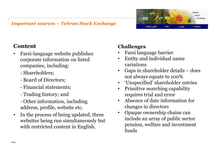## *Important sources – Tehran Stock Exchange*

**Content**

- Farsi-language website publishes corporate information on listed companies, including:
	- Shareholders;
	- Board of Directors;
	- Financial statements;
	- Trading history; and
	- Other information, including address, profile, website etc.
- In the process of being updated, three websites being run simultaneously but with restricted content in English.

# **Challenges**

- Farsi language barrier
- Entity and individual name variations
- Gaps in shareholder details does not always equate to 100%
- 'Unspecified' shareholder entries
- Primitive searching capability requires trial and error
- Absence of date information for changes in directors
- Opaque ownership chains can include an array of public sector pension, welfare and investment funds

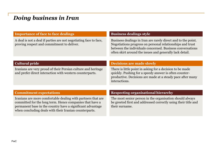# *Doing business in Iran*

| <b>Importance of face to face dealings</b>                                                                                                                                                                                                       | <b>Business dealings style</b>                                                                                                                                                                                                                      |
|--------------------------------------------------------------------------------------------------------------------------------------------------------------------------------------------------------------------------------------------------|-----------------------------------------------------------------------------------------------------------------------------------------------------------------------------------------------------------------------------------------------------|
| A deal is not a deal if parties are not negotiating face to face,<br>proving respect and commitment to deliver.                                                                                                                                  | Business dealings in Iran are rarely direct and to the point.<br>Negotiations progress on personal relationships and trust<br>between the individuals concerned. Business conversations<br>often skirt around the issues and generally lack detail. |
|                                                                                                                                                                                                                                                  |                                                                                                                                                                                                                                                     |
| <b>Cultural pride</b>                                                                                                                                                                                                                            | <b>Decisions are made slowly</b>                                                                                                                                                                                                                    |
| Iranians are very proud of their Persian culture and heritage<br>and prefer direct interaction with western counterparts.                                                                                                                        | There is little point in asking for a decision to be made<br>quickly. Pushing for a speedy answer is often counter-<br>productive. Decisions are made at a steady pace after many<br>interactions.                                                  |
|                                                                                                                                                                                                                                                  |                                                                                                                                                                                                                                                     |
| <b>Commitment expectations</b>                                                                                                                                                                                                                   | <b>Respecting organisational hierarchy</b>                                                                                                                                                                                                          |
| Iranians are more comfortable dealing with partners that are<br>committed for the long term. Hence companies that have a<br>permanent base in the country have a significant advantage<br>when concluding deals with their Iranian counterparts. | The most senior person in the organisation should always<br>be greeted first and addressed correctly using their title and<br>their surname.                                                                                                        |